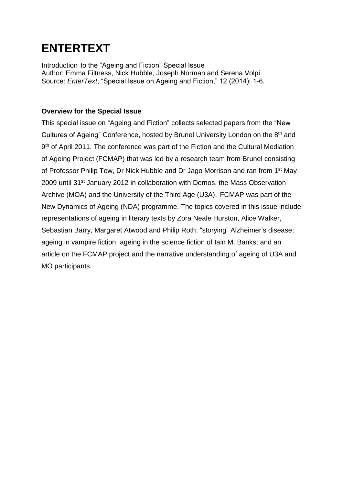## **ENTERTEXT**

Introduction to the "Ageing and Fiction" Special Issue Author: Emma Filtness, Nick Hubble, Joseph Norman and Serena Volpi Source: *EnterText*, "Special Issue on Ageing and Fiction," 12 (2014): 1-6.

## **Overview for the Special Issue**

This special issue on "Ageing and Fiction" collects selected papers from the "New Cultures of Ageing" Conference, hosted by Brunel University London on the 8<sup>th</sup> and 9<sup>th</sup> of April 2011. The conference was part of the Fiction and the Cultural Mediation of Ageing Project (FCMAP) that was led by a research team from Brunel consisting of Professor Philip Tew, Dr Nick Hubble and Dr Jago Morrison and ran from 1<sup>st</sup> May 2009 until 31<sup>st</sup> January 2012 in collaboration with Demos, the Mass Observation Archive (MOA) and the University of the Third Age (U3A). FCMAP was part of the New Dynamics of Ageing (NDA) programme. The topics covered in this issue include representations of ageing in literary texts by Zora Neale Hurston, Alice Walker, Sebastian Barry, Margaret Atwood and Philip Roth; "storying" Alzheimer's disease; ageing in vampire fiction; ageing in the science fiction of Iain M. Banks; and an article on the FCMAP project and the narrative understanding of ageing of U3A and MO participants.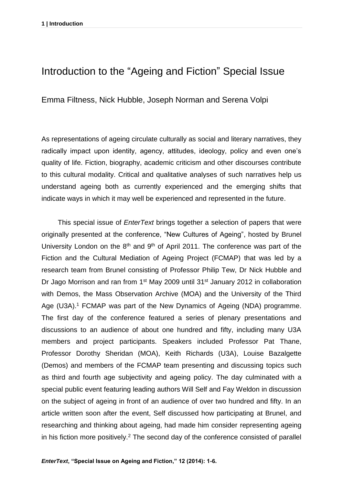## Introduction to the "Ageing and Fiction" Special Issue

Emma Filtness, Nick Hubble, Joseph Norman and Serena Volpi

As representations of ageing circulate culturally as social and literary narratives, they radically impact upon identity, agency, attitudes, ideology, policy and even one's quality of life. Fiction, biography, academic criticism and other discourses contribute to this cultural modality. Critical and qualitative analyses of such narratives help us understand ageing both as currently experienced and the emerging shifts that indicate ways in which it may well be experienced and represented in the future.

This special issue of *EnterText* brings together a selection of papers that were originally presented at the conference, "New Cultures of Ageing", hosted by Brunel University London on the  $8<sup>th</sup>$  and  $9<sup>th</sup>$  of April 2011. The conference was part of the Fiction and the Cultural Mediation of Ageing Project (FCMAP) that was led by a research team from Brunel consisting of Professor Philip Tew, Dr Nick Hubble and Dr Jago Morrison and ran from 1<sup>st</sup> May 2009 until 31<sup>st</sup> January 2012 in collaboration with Demos, the Mass Observation Archive (MOA) and the University of the Third Age (U3A).<sup>1</sup> FCMAP was part of the New Dynamics of Ageing (NDA) programme. The first day of the conference featured a series of plenary presentations and discussions to an audience of about one hundred and fifty, including many U3A members and project participants. Speakers included Professor Pat Thane, Professor Dorothy Sheridan (MOA), Keith Richards (U3A), Louise Bazalgette (Demos) and members of the FCMAP team presenting and discussing topics such as third and fourth age subjectivity and ageing policy. The day culminated with a special public event featuring leading authors Will Self and Fay Weldon in discussion on the subject of ageing in front of an audience of over two hundred and fifty. In an article written soon after the event, Self discussed how participating at Brunel, and researching and thinking about ageing, had made him consider representing ageing in his fiction more positively.<sup>2</sup> The second day of the conference consisted of parallel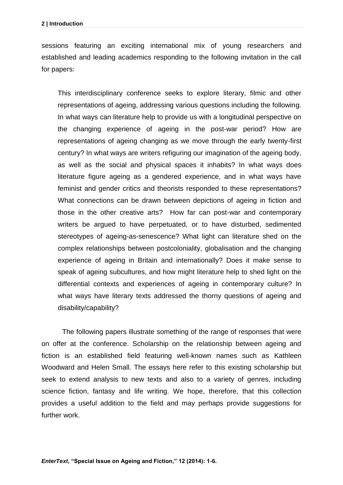sessions featuring an exciting international mix of young researchers and established and leading academics responding to the following invitation in the call for papers:

This interdisciplinary conference seeks to explore literary, filmic and other representations of ageing, addressing various questions including the following. In what ways can literature help to provide us with a longitudinal perspective on the changing experience of ageing in the post-war period? How are representations of ageing changing as we move through the early twenty-first century? In what ways are writers refiguring our imagination of the ageing body, as well as the social and physical spaces it inhabits? In what ways does literature figure ageing as a gendered experience, and in what ways have feminist and gender critics and theorists responded to these representations? What connections can be drawn between depictions of ageing in fiction and those in the other creative arts? How far can post-war and contemporary writers be argued to have perpetuated, or to have disturbed, sedimented stereotypes of ageing-as-senescence? What light can literature shed on the complex relationships between postcoloniality, globalisation and the changing experience of ageing in Britain and internationally? Does it make sense to speak of ageing subcultures, and how might literature help to shed light on the differential contexts and experiences of ageing in contemporary culture? In what ways have literary texts addressed the thorny questions of ageing and disability/capability?

The following papers illustrate something of the range of responses that were on offer at the conference. Scholarship on the relationship between ageing and fiction is an established field featuring well-known names such as Kathleen Woodward and Helen Small. The essays here refer to this existing scholarship but seek to extend analysis to new texts and also to a variety of genres, including science fiction, fantasy and life writing. We hope, therefore, that this collection provides a useful addition to the field and may perhaps provide suggestions for further work.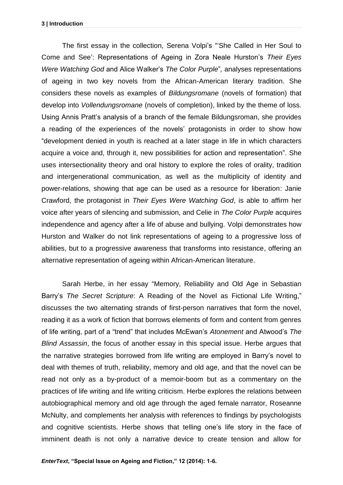The first essay in the collection, Serena Volpi's "'She Called in Her Soul to Come and See': Representations of Ageing in Zora Neale Hurston's *Their Eyes Were Watching God* and Alice Walker's *The Color Purple*"*,* analyses representations of ageing in two key novels from the African-American literary tradition. She considers these novels as examples of *Bildungsromane* (novels of formation) that develop into *Vollendungsromane* (novels of completion), linked by the theme of loss. Using Annis Pratt's analysis of a branch of the female Bildungsroman, she provides a reading of the experiences of the novels' protagonists in order to show how "development denied in youth is reached at a later stage in life in which characters acquire a voice and, through it, new possibilities for action and representation". She uses intersectionality theory and oral history to explore the roles of orality, tradition and intergenerational communication, as well as the multiplicity of identity and power-relations, showing that age can be used as a resource for liberation: Janie Crawford, the protagonist in *Their Eyes Were Watching God*, is able to affirm her voice after years of silencing and submission, and Celie in *The Color Purple* acquires independence and agency after a life of abuse and bullying. Volpi demonstrates how Hurston and Walker do not link representations of ageing to a progressive loss of abilities, but to a progressive awareness that transforms into resistance, offering an alternative representation of ageing within African-American literature.

Sarah Herbe, in her essay "Memory, Reliability and Old Age in Sebastian Barry's *The Secret Scripture*: A Reading of the Novel as Fictional Life Writing," discusses the two alternating strands of first-person narratives that form the novel, reading it as a work of fiction that borrows elements of form and content from genres of life writing, part of a "trend" that includes McEwan's *Atonement* and Atwood's *The Blind Assassin*, the focus of another essay in this special issue. Herbe argues that the narrative strategies borrowed from life writing are employed in Barry's novel to deal with themes of truth, reliability, memory and old age, and that the novel can be read not only as a by-product of a memoir-boom but as a commentary on the practices of life writing and life writing criticism. Herbe explores the relations between autobiographical memory and old age through the aged female narrator, Roseanne McNulty, and complements her analysis with references to findings by psychologists and cognitive scientists. Herbe shows that telling one's life story in the face of imminent death is not only a narrative device to create tension and allow for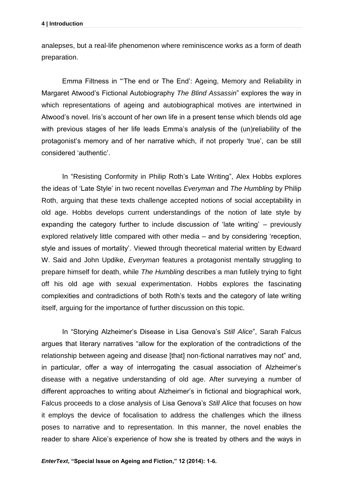analepses, but a real-life phenomenon where reminiscence works as a form of death preparation.

Emma Filtness in "'The end or The End': Ageing, Memory and Reliability in Margaret Atwood's Fictional Autobiography *The Blind Assassin*" explores the way in which representations of ageing and autobiographical motives are intertwined in Atwood's novel. Iris's account of her own life in a present tense which blends old age with previous stages of her life leads Emma's analysis of the (un)reliability of the protagonist's memory and of her narrative which, if not properly 'true', can be still considered 'authentic'.

In "Resisting Conformity in Philip Roth's Late Writing", Alex Hobbs explores the ideas of 'Late Style' in two recent novellas *Everyman* and *The Humbling* by Philip Roth, arguing that these texts challenge accepted notions of social acceptability in old age. Hobbs develops current understandings of the notion of late style by expanding the category further to include discussion of 'late writing' – previously explored relatively little compared with other media – and by considering 'reception, style and issues of mortality'. Viewed through theoretical material written by Edward W. Said and John Updike, *Everyman* features a protagonist mentally struggling to prepare himself for death, while *The Humbling* describes a man futilely trying to fight off his old age with sexual experimentation. Hobbs explores the fascinating complexities and contradictions of both Roth's texts and the category of late writing itself, arguing for the importance of further discussion on this topic.

In "Storying Alzheimer's Disease in Lisa Genova's *Still Alice*", Sarah Falcus argues that literary narratives "allow for the exploration of the contradictions of the relationship between ageing and disease [that] non-fictional narratives may not" and, in particular, offer a way of interrogating the casual association of Alzheimer's disease with a negative understanding of old age. After surveying a number of different approaches to writing about Alzheimer's in fictional and biographical work, Falcus proceeds to a close analysis of Lisa Genova's *Still Alice* that focuses on how it employs the device of focalisation to address the challenges which the illness poses to narrative and to representation. In this manner, the novel enables the reader to share Alice's experience of how she is treated by others and the ways in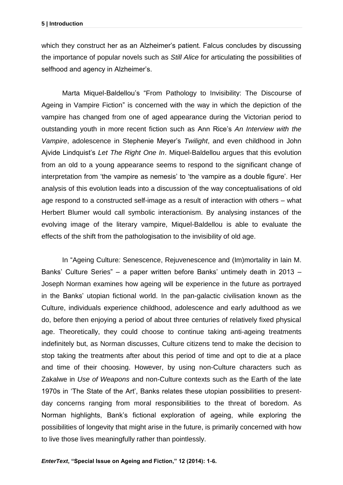which they construct her as an Alzheimer's patient. Falcus concludes by discussing the importance of popular novels such as *Still Alice* for articulating the possibilities of selfhood and agency in Alzheimer's.

Marta Miquel-Baldellou's "From Pathology to Invisibility: The Discourse of Ageing in Vampire Fiction" is concerned with the way in which the depiction of the vampire has changed from one of aged appearance during the Victorian period to outstanding youth in more recent fiction such as Ann Rice's *An Interview with the Vampire*, adolescence in Stephenie Meyer's *Twilight*, and even childhood in John Ajvide Lindquist's *Let The Right One In*. Miquel-Baldellou argues that this evolution from an old to a young appearance seems to respond to the significant change of interpretation from 'the vampire as nemesis' to 'the vampire as a double figure'. Her analysis of this evolution leads into a discussion of the way conceptualisations of old age respond to a constructed self-image as a result of interaction with others – what Herbert Blumer would call symbolic interactionism. By analysing instances of the evolving image of the literary vampire, Miquel-Baldellou is able to evaluate the effects of the shift from the pathologisation to the invisibility of old age.

In "Ageing Culture*:* Senescence, Rejuvenescence and (Im)mortality in Iain M. Banks' Culture Series" – a paper written before Banks' untimely death in 2013 – Joseph Norman examines how ageing will be experience in the future as portrayed in the Banks' utopian fictional world. In the pan-galactic civilisation known as the Culture, individuals experience childhood, adolescence and early adulthood as we do, before then enjoying a period of about three centuries of relatively fixed physical age. Theoretically, they could choose to continue taking anti-ageing treatments indefinitely but, as Norman discusses, Culture citizens tend to make the decision to stop taking the treatments after about this period of time and opt to die at a place and time of their choosing. However, by using non-Culture characters such as Zakalwe in *Use of Weapons* and non-Culture contexts such as the Earth of the late 1970s in 'The State of the Art', Banks relates these utopian possibilities to presentday concerns ranging from moral responsibilities to the threat of boredom. As Norman highlights, Bank's fictional exploration of ageing, while exploring the possibilities of longevity that might arise in the future, is primarily concerned with how to live those lives meaningfully rather than pointlessly.